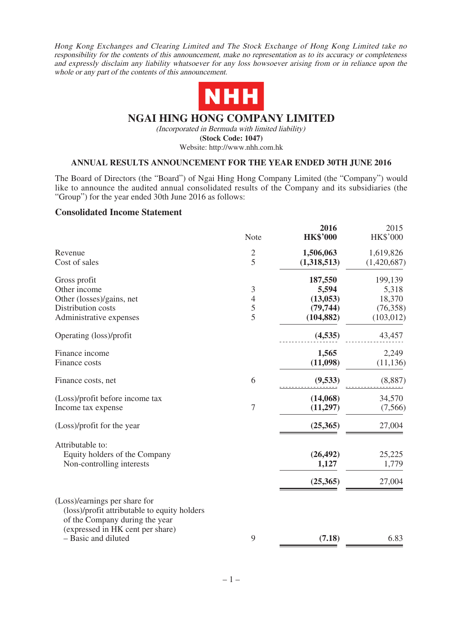Hong Kong Exchanges and Clearing Limited and The Stock Exchange of Hong Kong Limited take no responsibility for the contents of this announcement, make no representation as to its accuracy or completeness and expressly disclaim any liability whatsoever for any loss howsoever arising from or in reliance upon the whole or any part of the contents of this announcement.



## **NGAI HING HONG COMPANY LIMITED**

(Incorporated in Bermuda with limited liability) **(Stock Code: 1047)** Website: http://www.nhh.com.hk

#### **ANNUAL RESULTS ANNOUNCEMENT FOR THE YEAR ENDED 30TH JUNE 2016**

The Board of Directors (the "Board") of Ngai Hing Hong Company Limited (the "Company") would like to announce the audited annual consolidated results of the Company and its subsidiaries (the "Group") for the year ended 30th June 2016 as follows:

#### **Consolidated Income Statement**

|                                                                                                                                                     | Note                                       | 2016<br><b>HK\$'000</b> | 2015<br><b>HK\$'000</b> |
|-----------------------------------------------------------------------------------------------------------------------------------------------------|--------------------------------------------|-------------------------|-------------------------|
| Revenue                                                                                                                                             | $\overline{c}$                             | 1,506,063               | 1,619,826               |
| Cost of sales                                                                                                                                       | 5                                          | (1,318,513)             | (1,420,687)             |
| Gross profit                                                                                                                                        |                                            | 187,550                 | 199,139                 |
| Other income                                                                                                                                        | $\mathfrak{Z}$                             | 5,594                   | 5,318                   |
| Other (losses)/gains, net                                                                                                                           | $\begin{array}{c} 4 \\ 5 \\ 5 \end{array}$ | (13, 053)               | 18,370                  |
| Distribution costs                                                                                                                                  |                                            | (79, 744)               | (76, 358)               |
| Administrative expenses                                                                                                                             |                                            | (104, 882)              | (103, 012)              |
| Operating (loss)/profit                                                                                                                             |                                            | (4,535)                 | 43,457                  |
| Finance income                                                                                                                                      |                                            | 1,565                   | 2,249                   |
| Finance costs                                                                                                                                       |                                            | (11,098)                | (11, 136)               |
| Finance costs, net                                                                                                                                  | 6                                          | (9,533)                 | (8,887)                 |
| (Loss)/profit before income tax                                                                                                                     |                                            | (14,068)                | 34,570                  |
| Income tax expense                                                                                                                                  | $\sqrt{ }$                                 | (11,297)                | (7,566)                 |
| (Loss)/profit for the year                                                                                                                          |                                            | (25,365)                | 27,004                  |
| Attributable to:                                                                                                                                    |                                            |                         |                         |
| Equity holders of the Company                                                                                                                       |                                            | (26, 492)               | 25,225                  |
| Non-controlling interests                                                                                                                           |                                            | 1,127                   | 1,779                   |
|                                                                                                                                                     |                                            | (25,365)                | 27,004                  |
| (Loss)/earnings per share for<br>(loss)/profit attributable to equity holders<br>of the Company during the year<br>(expressed in HK cent per share) |                                            |                         |                         |
| - Basic and diluted                                                                                                                                 | 9                                          | (7.18)                  | 6.83                    |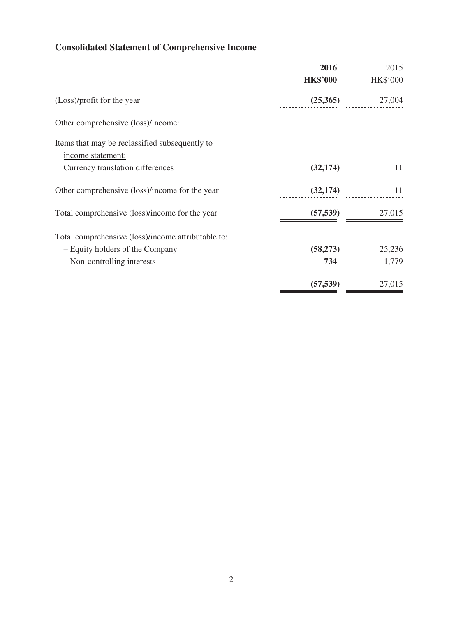# **Consolidated Statement of Comprehensive Income**

|                                                    | 2016            | 2015            |
|----------------------------------------------------|-----------------|-----------------|
|                                                    | <b>HK\$'000</b> | <b>HK\$'000</b> |
| (Loss)/profit for the year                         | (25,365)        | 27,004          |
| Other comprehensive (loss)/income:                 |                 |                 |
| Items that may be reclassified subsequently to     |                 |                 |
| income statement:                                  |                 |                 |
| Currency translation differences                   | (32, 174)       | 11              |
| Other comprehensive (loss)/income for the year     | (32, 174)       | 11              |
| Total comprehensive (loss)/income for the year     | (57, 539)       | 27,015          |
| Total comprehensive (loss)/income attributable to: |                 |                 |
| - Equity holders of the Company                    | (58, 273)       | 25,236          |
| - Non-controlling interests                        | 734             | 1,779           |
|                                                    | (57, 539)       | 27,015          |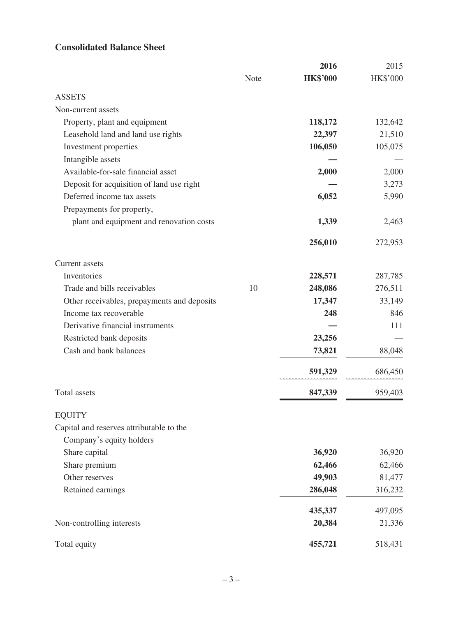## **Consolidated Balance Sheet**

|                                             |      | 2016            | 2015     |
|---------------------------------------------|------|-----------------|----------|
|                                             | Note | <b>HK\$'000</b> | HK\$'000 |
| <b>ASSETS</b>                               |      |                 |          |
| Non-current assets                          |      |                 |          |
| Property, plant and equipment               |      | 118,172         | 132,642  |
| Leasehold land and land use rights          |      | 22,397          | 21,510   |
| Investment properties                       |      | 106,050         | 105,075  |
| Intangible assets                           |      |                 |          |
| Available-for-sale financial asset          |      | 2,000           | 2,000    |
| Deposit for acquisition of land use right   |      |                 | 3,273    |
| Deferred income tax assets                  |      | 6,052           | 5,990    |
| Prepayments for property,                   |      |                 |          |
| plant and equipment and renovation costs    |      | 1,339           | 2,463    |
|                                             |      | 256,010         | 272,953  |
| Current assets                              |      |                 |          |
| Inventories                                 |      | 228,571         | 287,785  |
| Trade and bills receivables                 | 10   | 248,086         | 276,511  |
| Other receivables, prepayments and deposits |      | 17,347          | 33,149   |
| Income tax recoverable                      |      | 248             | 846      |
| Derivative financial instruments            |      |                 | 111      |
| Restricted bank deposits                    |      | 23,256          |          |
| Cash and bank balances                      |      | 73,821          | 88,048   |
|                                             |      | 591,329         | 686,450  |
| Total assets                                |      | 847,339         | 959,403  |
| <b>EQUITY</b>                               |      |                 |          |
| Capital and reserves attributable to the    |      |                 |          |
| Company's equity holders                    |      |                 |          |
| Share capital                               |      | 36,920          | 36,920   |
| Share premium                               |      | 62,466          | 62,466   |
| Other reserves                              |      | 49,903          | 81,477   |
| Retained earnings                           |      | 286,048         | 316,232  |
|                                             |      | 435,337         | 497,095  |
| Non-controlling interests                   |      | 20,384          | 21,336   |
| Total equity                                |      | 455,721         | 518,431  |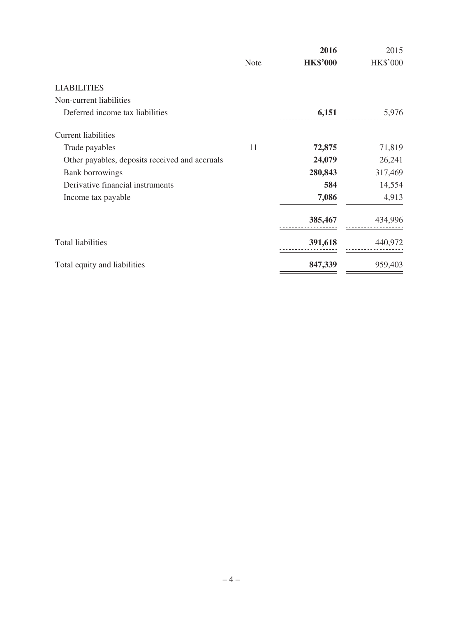|                                                |      | 2016            | 2015     |
|------------------------------------------------|------|-----------------|----------|
|                                                | Note | <b>HK\$'000</b> | HK\$'000 |
| <b>LIABILITIES</b>                             |      |                 |          |
| Non-current liabilities                        |      |                 |          |
| Deferred income tax liabilities                |      | 6,151           | 5,976    |
| Current liabilities                            |      |                 |          |
| Trade payables                                 | 11   | 72,875          | 71,819   |
| Other payables, deposits received and accruals |      | 24,079          | 26,241   |
| <b>Bank borrowings</b>                         |      | 280,843         | 317,469  |
| Derivative financial instruments               |      | 584             | 14,554   |
| Income tax payable                             |      | 7,086           | 4,913    |
|                                                |      | 385,467         | 434,996  |
| <b>Total liabilities</b>                       |      | 391,618         | 440,972  |
| Total equity and liabilities                   |      | 847,339         | 959,403  |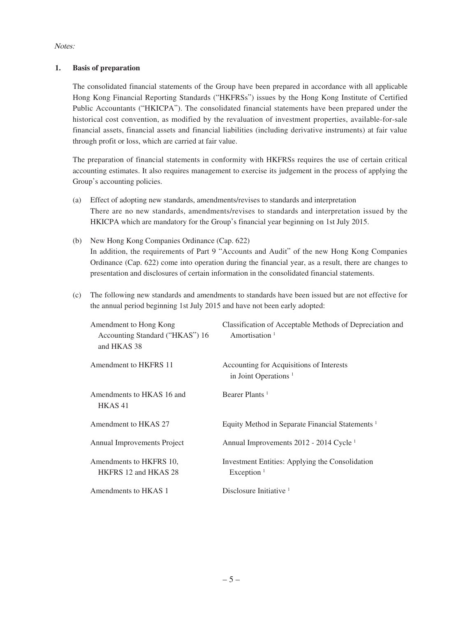Notes:

#### **1. Basis of preparation**

The consolidated financial statements of the Group have been prepared in accordance with all applicable Hong Kong Financial Reporting Standards ("HKFRSs") issues by the Hong Kong Institute of Certified Public Accountants ("HKICPA"). The consolidated financial statements have been prepared under the historical cost convention, as modified by the revaluation of investment properties, available-for-sale financial assets, financial assets and financial liabilities (including derivative instruments) at fair value through profit or loss, which are carried at fair value.

The preparation of financial statements in conformity with HKFRSs requires the use of certain critical accounting estimates. It also requires management to exercise its judgement in the process of applying the Group's accounting policies.

- (a) Effect of adopting new standards, amendments/revises to standards and interpretation There are no new standards, amendments/revises to standards and interpretation issued by the HKICPA which are mandatory for the Group's financial year beginning on 1st July 2015.
- (b) New Hong Kong Companies Ordinance (Cap. 622) In addition, the requirements of Part 9 "Accounts and Audit" of the new Hong Kong Companies Ordinance (Cap. 622) come into operation during the financial year, as a result, there are changes to presentation and disclosures of certain information in the consolidated financial statements.
- (c) The following new standards and amendments to standards have been issued but are not effective for the annual period beginning 1st July 2015 and have not been early adopted:

| Amendment to Hong Kong<br>Accounting Standard ("HKAS") 16<br>and HKAS 38 | Classification of Acceptable Methods of Depreciation and<br>Amortisation <sup>1</sup>     |
|--------------------------------------------------------------------------|-------------------------------------------------------------------------------------------|
| Amendment to HKFRS 11                                                    | Accounting for Acquisitions of Interests<br>in Joint Operations <sup><math>1</math></sup> |
| Amendments to HKAS 16 and<br>HKAS41                                      | Bearer Plants <sup>1</sup>                                                                |
| Amendment to HKAS 27                                                     | Equity Method in Separate Financial Statements <sup>1</sup>                               |
| Annual Improvements Project                                              | Annual Improvements 2012 - 2014 Cycle <sup>1</sup>                                        |
| Amendments to HKFRS 10.<br>HKFRS 12 and HKAS 28                          | Investment Entities: Applying the Consolidation<br>Exception $1$                          |
| Amendments to HKAS 1                                                     | Disclosure Initiative <sup>1</sup>                                                        |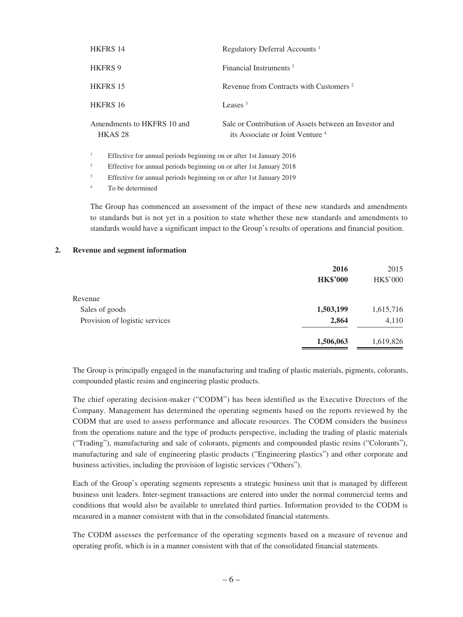| <b>HKFRS 14</b>                                                                     | Regulatory Deferral Accounts <sup>1</sup>                                                             |  |  |  |
|-------------------------------------------------------------------------------------|-------------------------------------------------------------------------------------------------------|--|--|--|
| <b>HKFRS 9</b>                                                                      | Financial Instruments <sup>2</sup>                                                                    |  |  |  |
| <b>HKFRS 15</b>                                                                     | Revenue from Contracts with Customers <sup>2</sup>                                                    |  |  |  |
| HKFRS 16                                                                            | Leases $3$                                                                                            |  |  |  |
| Amendments to HKFRS 10 and<br>HKAS <sub>28</sub>                                    | Sale or Contribution of Assets between an Investor and<br>its Associate or Joint Venture <sup>4</sup> |  |  |  |
| $\mathbf{1}$<br>Effective for annual periods beginning on or after 1st January 2016 |                                                                                                       |  |  |  |
| Effective for annual periods beginning on or after 1st January 2018                 |                                                                                                       |  |  |  |
| 3<br>Effective for annual periods beginning on or after 1st January 2019            |                                                                                                       |  |  |  |
|                                                                                     |                                                                                                       |  |  |  |

<sup>4</sup> To be determined

The Group has commenced an assessment of the impact of these new standards and amendments to standards but is not yet in a position to state whether these new standards and amendments to standards would have a significant impact to the Group's results of operations and financial position.

#### **2. Revenue and segment information**

|                                | 2016<br><b>HK\$'000</b> | 2015<br><b>HK\$'000</b> |
|--------------------------------|-------------------------|-------------------------|
| Revenue                        |                         |                         |
| Sales of goods                 | 1,503,199               | 1,615,716               |
| Provision of logistic services | 2,864                   | 4,110                   |
|                                | 1,506,063               | 1,619,826               |

The Group is principally engaged in the manufacturing and trading of plastic materials, pigments, colorants, compounded plastic resins and engineering plastic products.

The chief operating decision-maker ("CODM") has been identified as the Executive Directors of the Company. Management has determined the operating segments based on the reports reviewed by the CODM that are used to assess performance and allocate resources. The CODM considers the business from the operations nature and the type of products perspective, including the trading of plastic materials ("Trading"), manufacturing and sale of colorants, pigments and compounded plastic resins ("Colorants"), manufacturing and sale of engineering plastic products ("Engineering plastics") and other corporate and business activities, including the provision of logistic services ("Others").

Each of the Group's operating segments represents a strategic business unit that is managed by different business unit leaders. Inter-segment transactions are entered into under the normal commercial terms and conditions that would also be available to unrelated third parties. Information provided to the CODM is measured in a manner consistent with that in the consolidated financial statements.

The CODM assesses the performance of the operating segments based on a measure of revenue and operating profit, which is in a manner consistent with that of the consolidated financial statements.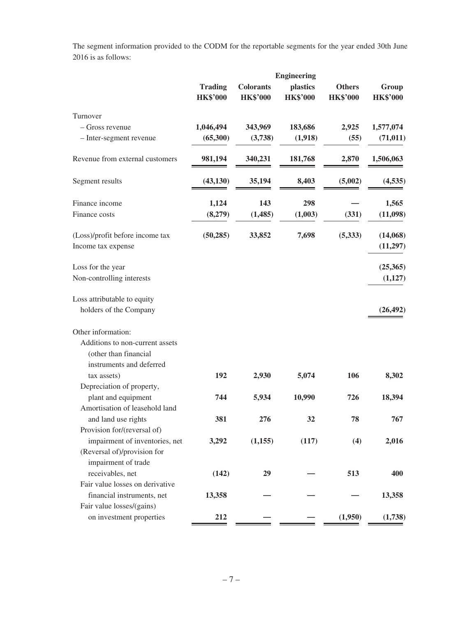The segment information provided to the CODM for the reportable segments for the year ended 30th June 2016 is as follows:

|                                                       |                                   |                                     | <b>Engineering</b>          |                                  |                          |
|-------------------------------------------------------|-----------------------------------|-------------------------------------|-----------------------------|----------------------------------|--------------------------|
|                                                       | <b>Trading</b><br><b>HK\$'000</b> | <b>Colorants</b><br><b>HK\$'000</b> | plastics<br><b>HK\$'000</b> | <b>Others</b><br><b>HK\$'000</b> | Group<br><b>HK\$'000</b> |
| Turnover                                              |                                   |                                     |                             |                                  |                          |
| - Gross revenue                                       | 1,046,494                         | 343,969                             | 183,686                     | 2,925                            | 1,577,074                |
| - Inter-segment revenue                               | (65,300)                          | (3,738)                             | (1,918)                     | (55)                             | (71, 011)                |
| Revenue from external customers                       | 981,194                           | 340,231                             | 181,768                     | 2,870                            | 1,506,063                |
| Segment results                                       | (43, 130)                         | 35,194                              | 8,403                       | (5,002)                          | (4, 535)                 |
| Finance income                                        | 1,124                             | 143                                 | 298                         |                                  | 1,565                    |
| Finance costs                                         | (8,279)                           | (1, 485)                            | (1,003)                     | (331)                            | (11,098)                 |
| (Loss)/profit before income tax<br>Income tax expense | (50, 285)                         | 33,852                              | 7,698                       | (5,333)                          | (14,068)<br>(11,297)     |
| Loss for the year                                     |                                   |                                     |                             |                                  | (25,365)                 |
| Non-controlling interests                             |                                   |                                     |                             |                                  | (1,127)                  |
| Loss attributable to equity                           |                                   |                                     |                             |                                  |                          |
| holders of the Company                                |                                   |                                     |                             |                                  | (26, 492)                |
| Other information:                                    |                                   |                                     |                             |                                  |                          |
| Additions to non-current assets                       |                                   |                                     |                             |                                  |                          |
| (other than financial                                 |                                   |                                     |                             |                                  |                          |
| instruments and deferred<br>tax assets)               | 192                               | 2,930                               | 5,074                       | 106                              | 8,302                    |
| Depreciation of property,<br>plant and equipment      | 744                               | 5,934                               | 10,990                      | 726                              | 18,394                   |
| Amortisation of leasehold land<br>and land use rights | 381                               | 276                                 | 32                          | 78                               | 767                      |
| Provision for/(reversal of)                           |                                   |                                     |                             |                                  |                          |
| impairment of inventories, net                        | 3,292                             | (1,155)                             | (117)                       | (4)                              | 2,016                    |
| (Reversal of)/provision for<br>impairment of trade    |                                   |                                     |                             |                                  |                          |
| receivables, net                                      | (142)                             | 29                                  |                             | 513                              | 400                      |
| Fair value losses on derivative                       |                                   |                                     |                             |                                  |                          |
| financial instruments, net                            | 13,358                            |                                     |                             |                                  | 13,358                   |
| Fair value losses/(gains)<br>on investment properties | 212                               |                                     |                             | (1,950)                          | (1,738)                  |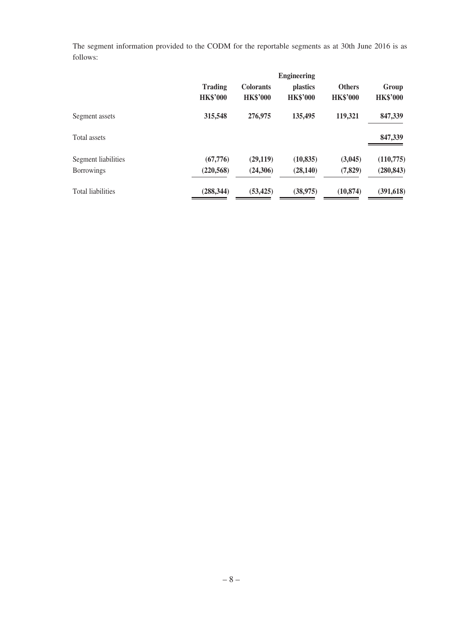The segment information provided to the CODM for the reportable segments as at 30th June 2016 is as follows:

|                          | <b>Engineering</b>                |                                     |                                    |                                  |                          |
|--------------------------|-----------------------------------|-------------------------------------|------------------------------------|----------------------------------|--------------------------|
|                          | <b>Trading</b><br><b>HK\$'000</b> | <b>Colorants</b><br><b>HK\$'000</b> | <i>plastics</i><br><b>HK\$'000</b> | <b>Others</b><br><b>HK\$'000</b> | Group<br><b>HK\$'000</b> |
| Segment assets           | 315,548                           | 276,975                             | 135,495                            | 119,321                          | 847,339                  |
| Total assets             |                                   |                                     |                                    |                                  | 847,339                  |
| Segment liabilities      | (67,776)                          | (29, 119)                           | (10, 835)                          | (3,045)                          | (110, 775)               |
| <b>Borrowings</b>        | (220, 568)                        | (24,306)                            | (28, 140)                          | (7, 829)                         | (280, 843)               |
| <b>Total liabilities</b> | (288, 344)                        | (53, 425)                           | (38,975)                           | (10, 874)                        | (391, 618)               |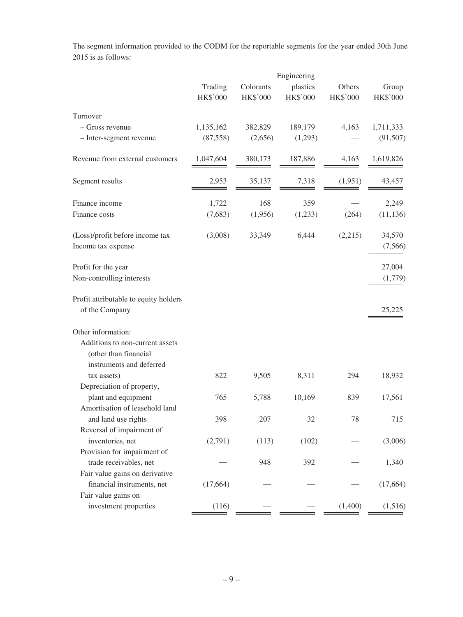The segment information provided to the CODM for the reportable segments for the year ended 30th June 2015 is as follows:

|                                                  | Engineering |           |          |                 |                 |  |
|--------------------------------------------------|-------------|-----------|----------|-----------------|-----------------|--|
|                                                  | Trading     | Colorants | plastics | Others          | Group           |  |
|                                                  | HK\$'000    | HK\$'000  | HK\$'000 | <b>HK\$'000</b> | <b>HK\$'000</b> |  |
| Turnover                                         |             |           |          |                 |                 |  |
| $-$ Gross revenue                                | 1,135,162   | 382,829   | 189,179  | 4,163           | 1,711,333       |  |
| - Inter-segment revenue                          | (87, 558)   | (2,656)   | (1,293)  |                 | (91, 507)       |  |
| Revenue from external customers                  | 1,047,604   | 380,173   | 187,886  | 4,163           | 1,619,826       |  |
| Segment results                                  | 2,953       | 35,137    | 7,318    | (1,951)         | 43,457          |  |
| Finance income                                   | 1,722       | 168       | 359      |                 | 2,249           |  |
| Finance costs                                    | (7,683)     | (1,956)   | (1,233)  | (264)           | (11, 136)       |  |
| (Loss)/profit before income tax                  | (3,008)     | 33,349    | 6,444    | (2,215)         | 34,570          |  |
| Income tax expense                               |             |           |          |                 | (7, 566)        |  |
| Profit for the year                              |             |           |          |                 | 27,004          |  |
| Non-controlling interests                        |             |           |          |                 | (1,779)         |  |
| Profit attributable to equity holders            |             |           |          |                 |                 |  |
| of the Company                                   |             |           |          |                 | 25,225          |  |
| Other information:                               |             |           |          |                 |                 |  |
| Additions to non-current assets                  |             |           |          |                 |                 |  |
| (other than financial                            |             |           |          |                 |                 |  |
| instruments and deferred                         | 822         |           | 8,311    |                 |                 |  |
| tax assets)                                      |             | 9,505     |          | 294             | 18,932          |  |
| Depreciation of property,<br>plant and equipment | 765         | 5,788     | 10,169   | 839             | 17,561          |  |
| Amortisation of leasehold land                   |             |           |          |                 |                 |  |
| and land use rights                              | 398         | 207       | 32       | 78              | 715             |  |
| Reversal of impairment of                        |             |           |          |                 |                 |  |
| inventories, net                                 | (2,791)     | (113)     | (102)    |                 | (3,006)         |  |
| Provision for impairment of                      |             |           |          |                 |                 |  |
| trade receivables, net                           |             | 948       | 392      |                 | 1,340           |  |
| Fair value gains on derivative                   |             |           |          |                 |                 |  |
| financial instruments, net                       | (17,664)    |           |          |                 | (17, 664)       |  |
| Fair value gains on                              |             |           |          |                 |                 |  |
| investment properties                            | (116)       |           |          | (1,400)         | (1,516)         |  |
|                                                  |             |           |          |                 |                 |  |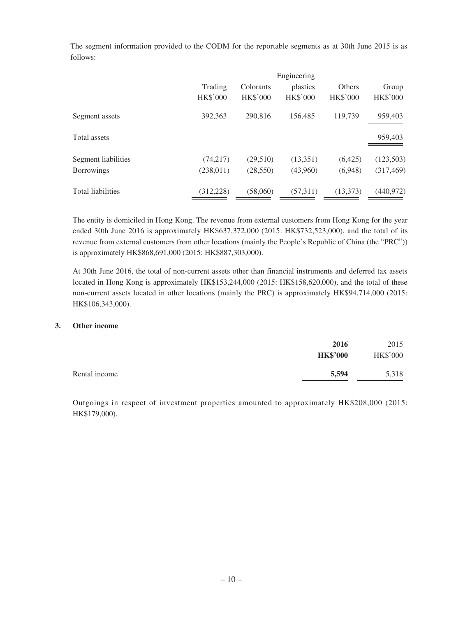The segment information provided to the CODM for the reportable segments as at 30th June 2015 is as follows:

| Engineering     |                 |                 |                 |                 |
|-----------------|-----------------|-----------------|-----------------|-----------------|
| Trading         | Colorants       | plastics        | Others          | Group           |
| <b>HK\$'000</b> | <b>HK\$'000</b> | <b>HK\$'000</b> | <b>HK\$'000</b> | <b>HK\$'000</b> |
| 392,363         | 290,816         | 156,485         | 119.739         | 959,403         |
|                 |                 |                 |                 | 959,403         |
| (74,217)        | (29,510)        | (13,351)        | (6,425)         | (123,503)       |
| (238, 011)      | (28, 550)       | (43,960)        | (6,948)         | (317, 469)      |
| (312, 228)      | (58,060)        | (57,311)        | (13,373)        | (440, 972)      |
|                 |                 |                 |                 |                 |

The entity is domiciled in Hong Kong. The revenue from external customers from Hong Kong for the year ended 30th June 2016 is approximately HK\$637,372,000 (2015: HK\$732,523,000), and the total of its revenue from external customers from other locations (mainly the People's Republic of China (the "PRC")) is approximately HK\$868,691,000 (2015: HK\$887,303,000).

At 30th June 2016, the total of non-current assets other than financial instruments and deferred tax assets located in Hong Kong is approximately HK\$153,244,000 (2015: HK\$158,620,000), and the total of these non-current assets located in other locations (mainly the PRC) is approximately HK\$94,714,000 (2015: HK\$106,343,000).

#### **3. Other income**

|               | 2016<br><b>HK\$'000</b> | 2015<br><b>HK\$'000</b> |
|---------------|-------------------------|-------------------------|
| Rental income | 5,594                   | 5,318                   |

Outgoings in respect of investment properties amounted to approximately HK\$208,000 (2015: HK\$179,000).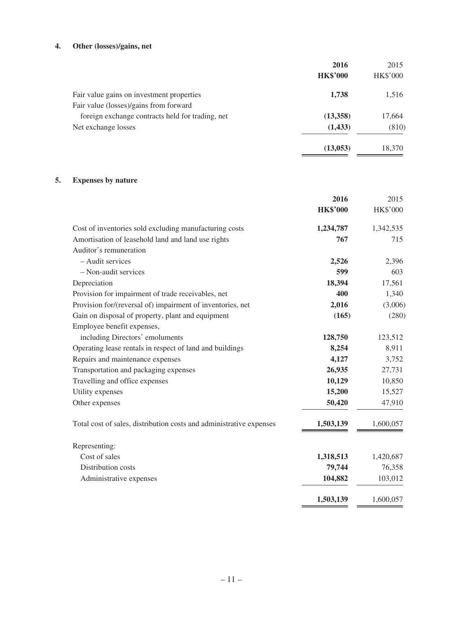## **4. Other (losses)/gains, net**

|                                                  | 2016            | 2015            |
|--------------------------------------------------|-----------------|-----------------|
|                                                  | <b>HK\$'000</b> | <b>HK\$'000</b> |
| Fair value gains on investment properties        | 1,738           | 1,516           |
| Fair value (losses)/gains from forward           |                 |                 |
| foreign exchange contracts held for trading, net | (13,358)        | 17,664          |
| Net exchange losses                              | (1, 433)        | (810)           |
|                                                  | (13, 053)       | 18,370          |

## **5. Expenses by nature**

|                                                                     | 2016            | 2015            |
|---------------------------------------------------------------------|-----------------|-----------------|
|                                                                     | <b>HK\$'000</b> | <b>HK\$'000</b> |
| Cost of inventories sold excluding manufacturing costs              | 1,234,787       | 1,342,535       |
| Amortisation of leasehold land and land use rights                  | 767             | 715             |
| Auditor's remuneration                                              |                 |                 |
| - Audit services                                                    | 2,526           | 2,396           |
| - Non-audit services                                                | 599             | 603             |
| Depreciation                                                        | 18,394          | 17,561          |
| Provision for impairment of trade receivables, net                  | 400             | 1,340           |
| Provision for/(reversal of) impairment of inventories, net          | 2,016           | (3,006)         |
| Gain on disposal of property, plant and equipment                   | (165)           | (280)           |
| Employee benefit expenses,                                          |                 |                 |
| including Directors' emoluments                                     | 128,750         | 123,512         |
| Operating lease rentals in respect of land and buildings            | 8,254           | 8,911           |
| Repairs and maintenance expenses                                    | 4,127           | 3,752           |
| Transportation and packaging expenses                               | 26,935          | 27,731          |
| Travelling and office expenses                                      | 10,129          | 10,850          |
| Utility expenses                                                    | 15,200          | 15,527          |
| Other expenses                                                      | 50,420          | 47,910          |
| Total cost of sales, distribution costs and administrative expenses | 1,503,139       | 1,600,057       |
| Representing:                                                       |                 |                 |
| Cost of sales                                                       | 1,318,513       | 1,420,687       |
| Distribution costs                                                  | 79,744          | 76,358          |
| Administrative expenses                                             | 104,882         | 103,012         |
|                                                                     | 1,503,139       | 1,600,057       |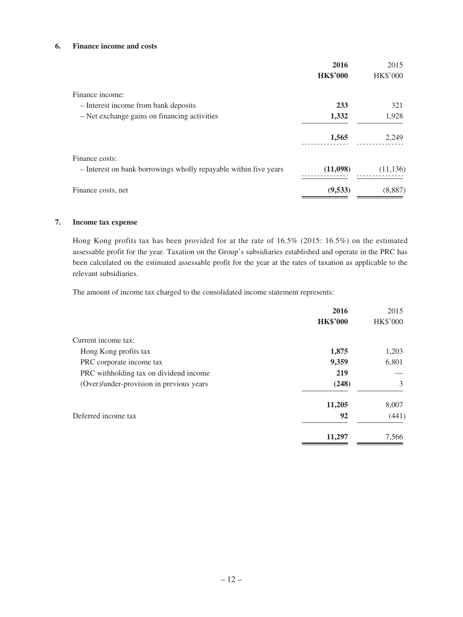### **6. Finance income and costs**

|                                                                  | 2016            | 2015            |
|------------------------------------------------------------------|-----------------|-----------------|
|                                                                  | <b>HK\$'000</b> | <b>HK\$'000</b> |
| Finance income:                                                  |                 |                 |
| - Interest income from bank deposits                             | 233             | 321             |
| - Net exchange gains on financing activities                     | 1,332           | 1,928           |
|                                                                  | 1,565           | 2,249           |
| Finance costs:                                                   |                 |                 |
| - Interest on bank borrowings wholly repayable within five years | (11,098)        | (11, 136)       |
| Finance costs, net                                               | (9,533)         | (8,887)         |

#### **7. Income tax expense**

Hong Kong profits tax has been provided for at the rate of 16.5% (2015: 16.5%) on the estimated assessable profit for the year. Taxation on the Group's subsidiaries established and operate in the PRC has been calculated on the estimated assessable profit for the year at the rates of taxation as applicable to the relevant subsidiaries.

The amount of income tax charged to the consolidated income statement represents:

|                                          | 2016            | 2015            |
|------------------------------------------|-----------------|-----------------|
|                                          | <b>HK\$'000</b> | <b>HK\$'000</b> |
| Current income tax:                      |                 |                 |
| Hong Kong profits tax                    | 1,875           | 1,203           |
| PRC corporate income tax                 | 9,359           | 6,801           |
| PRC withholding tax on dividend income   | 219             |                 |
| (Over)/under-provision in previous years | (248)           | 3               |
|                                          | 11,205          | 8,007           |
| Deferred income tax                      | 92              | (441)           |
|                                          | 11,297          | 7,566           |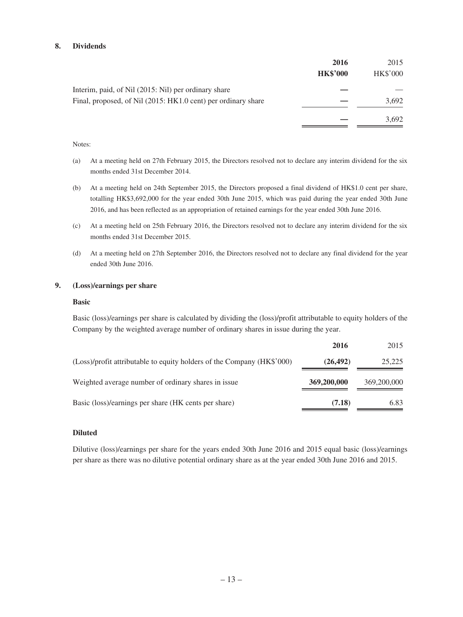#### **8. Dividends**

|                                                               | 2016<br><b>HK\$'000</b> | 2015<br>HK\$'000 |
|---------------------------------------------------------------|-------------------------|------------------|
| Interim, paid, of Nil (2015: Nil) per ordinary share          |                         |                  |
| Final, proposed, of Nil (2015: HK1.0 cent) per ordinary share |                         | 3,692            |
|                                                               |                         | 3,692            |

#### Notes:

- (a) At a meeting held on 27th February 2015, the Directors resolved not to declare any interim dividend for the six months ended 31st December 2014.
- (b) At a meeting held on 24th September 2015, the Directors proposed a final dividend of HK\$1.0 cent per share, totalling HK\$3,692,000 for the year ended 30th June 2015, which was paid during the year ended 30th June 2016, and has been reflected as an appropriation of retained earnings for the year ended 30th June 2016.
- (c) At a meeting held on 25th February 2016, the Directors resolved not to declare any interim dividend for the six months ended 31st December 2015.
- (d) At a meeting held on 27th September 2016, the Directors resolved not to declare any final dividend for the year ended 30th June 2016.

#### **9. (Loss)/earnings per share**

#### **Basic**

Basic (loss)/earnings per share is calculated by dividing the (loss)/profit attributable to equity holders of the Company by the weighted average number of ordinary shares in issue during the year.

|                                                                        | 2016        | 2015        |
|------------------------------------------------------------------------|-------------|-------------|
| (Loss)/profit attributable to equity holders of the Company (HK\$'000) | (26, 492)   | 25,225      |
| Weighted average number of ordinary shares in issue                    | 369,200,000 | 369,200,000 |
| Basic (loss)/earnings per share (HK cents per share)                   | (7.18)      | 6.83        |

#### **Diluted**

Dilutive (loss)/earnings per share for the years ended 30th June 2016 and 2015 equal basic (loss)/earnings per share as there was no dilutive potential ordinary share as at the year ended 30th June 2016 and 2015.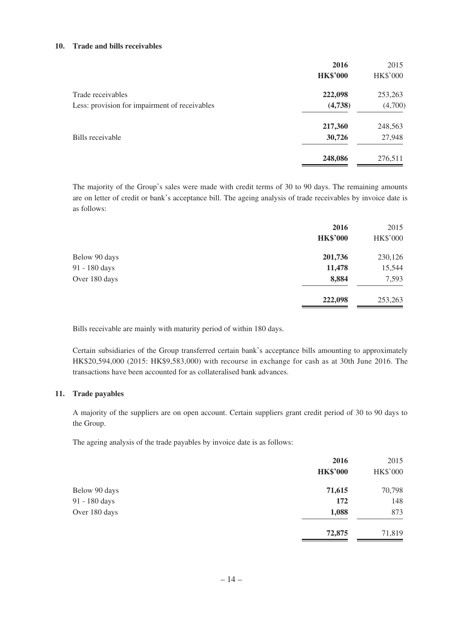#### **10. Trade and bills receivables**

|                                               | 2016            | 2015            |
|-----------------------------------------------|-----------------|-----------------|
|                                               | <b>HK\$'000</b> | <b>HK\$'000</b> |
| Trade receivables                             | 222,098         | 253,263         |
| Less: provision for impairment of receivables | (4,738)         | (4,700)         |
|                                               | 217,360         | 248,563         |
| Bills receivable                              | 30,726          | 27,948          |
|                                               | 248,086         | 276,511         |

The majority of the Group's sales were made with credit terms of 30 to 90 days. The remaining amounts are on letter of credit or bank's acceptance bill. The ageing analysis of trade receivables by invoice date is as follows:

|               | 2016<br><b>HK\$'000</b> | 2015<br><b>HK\$'000</b> |
|---------------|-------------------------|-------------------------|
| Below 90 days | 201,736                 | 230,126                 |
| 91 - 180 days | 11,478                  | 15,544                  |
| Over 180 days | 8,884                   | 7,593                   |
|               | 222,098                 | 253,263                 |

Bills receivable are mainly with maturity period of within 180 days.

Certain subsidiaries of the Group transferred certain bank's acceptance bills amounting to approximately HK\$20,594,000 (2015: HK\$9,583,000) with recourse in exchange for cash as at 30th June 2016. The transactions have been accounted for as collateralised bank advances.

#### **11. Trade payables**

A majority of the suppliers are on open account. Certain suppliers grant credit period of 30 to 90 days to the Group.

The ageing analysis of the trade payables by invoice date is as follows:

|               | 2016            | 2015            |
|---------------|-----------------|-----------------|
|               | <b>HK\$'000</b> | <b>HK\$'000</b> |
| Below 90 days | 71,615          | 70,798          |
| 91 - 180 days | 172             | 148             |
| Over 180 days | 1,088           | 873             |
|               | 72,875          | 71,819          |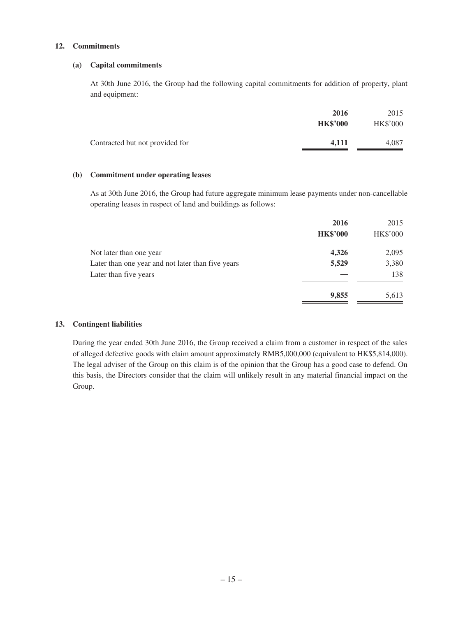#### **12. Commitments**

#### **(a) Capital commitments**

At 30th June 2016, the Group had the following capital commitments for addition of property, plant and equipment:

|                                 | 2016<br><b>HK\$'000</b> | 2015<br><b>HK\$'000</b> |
|---------------------------------|-------------------------|-------------------------|
| Contracted but not provided for | 4.111                   | 4.087                   |

#### **(b) Commitment under operating leases**

As at 30th June 2016, the Group had future aggregate minimum lease payments under non-cancellable operating leases in respect of land and buildings as follows:

|                                                   | 2016            | 2015            |
|---------------------------------------------------|-----------------|-----------------|
|                                                   | <b>HK\$'000</b> | <b>HK\$'000</b> |
| Not later than one year                           | 4,326           | 2,095           |
| Later than one year and not later than five years | 5,529           | 3,380           |
| Later than five years                             |                 | 138             |
|                                                   | 9,855           | 5,613           |

#### **13. Contingent liabilities**

During the year ended 30th June 2016, the Group received a claim from a customer in respect of the sales of alleged defective goods with claim amount approximately RMB5,000,000 (equivalent to HK\$5,814,000). The legal adviser of the Group on this claim is of the opinion that the Group has a good case to defend. On this basis, the Directors consider that the claim will unlikely result in any material financial impact on the Group.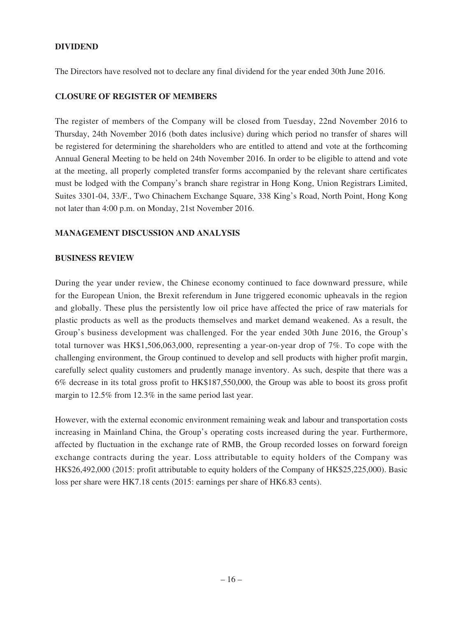### **DIVIDEND**

The Directors have resolved not to declare any final dividend for the year ended 30th June 2016.

#### **CLOSURE OF REGISTER OF MEMBERS**

The register of members of the Company will be closed from Tuesday, 22nd November 2016 to Thursday, 24th November 2016 (both dates inclusive) during which period no transfer of shares will be registered for determining the shareholders who are entitled to attend and vote at the forthcoming Annual General Meeting to be held on 24th November 2016. In order to be eligible to attend and vote at the meeting, all properly completed transfer forms accompanied by the relevant share certificates must be lodged with the Company's branch share registrar in Hong Kong, Union Registrars Limited, Suites 3301-04, 33/F., Two Chinachem Exchange Square, 338 King's Road, North Point, Hong Kong not later than 4:00 p.m. on Monday, 21st November 2016.

### **MANAGEMENT DISCUSSION AND ANALYSIS**

#### **BUSINESS REVIEW**

During the year under review, the Chinese economy continued to face downward pressure, while for the European Union, the Brexit referendum in June triggered economic upheavals in the region and globally. These plus the persistently low oil price have affected the price of raw materials for plastic products as well as the products themselves and market demand weakened. As a result, the Group's business development was challenged. For the year ended 30th June 2016, the Group's total turnover was HK\$1,506,063,000, representing a year-on-year drop of 7%. To cope with the challenging environment, the Group continued to develop and sell products with higher profit margin, carefully select quality customers and prudently manage inventory. As such, despite that there was a 6% decrease in its total gross profit to HK\$187,550,000, the Group was able to boost its gross profit margin to 12.5% from 12.3% in the same period last year.

However, with the external economic environment remaining weak and labour and transportation costs increasing in Mainland China, the Group's operating costs increased during the year. Furthermore, affected by fluctuation in the exchange rate of RMB, the Group recorded losses on forward foreign exchange contracts during the year. Loss attributable to equity holders of the Company was HK\$26,492,000 (2015: profit attributable to equity holders of the Company of HK\$25,225,000). Basic loss per share were HK7.18 cents (2015: earnings per share of HK6.83 cents).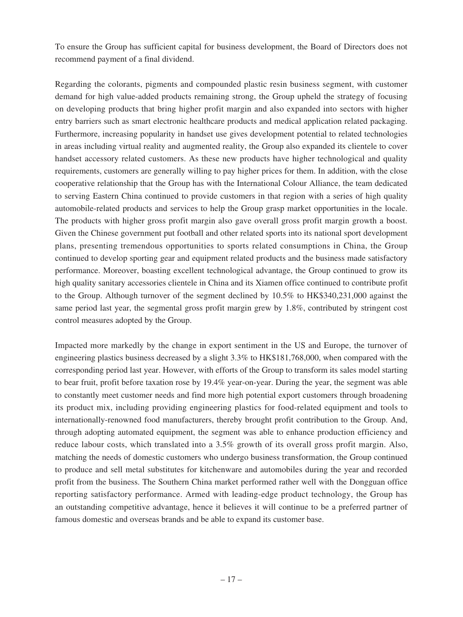To ensure the Group has sufficient capital for business development, the Board of Directors does not recommend payment of a final dividend.

Regarding the colorants, pigments and compounded plastic resin business segment, with customer demand for high value-added products remaining strong, the Group upheld the strategy of focusing on developing products that bring higher profit margin and also expanded into sectors with higher entry barriers such as smart electronic healthcare products and medical application related packaging. Furthermore, increasing popularity in handset use gives development potential to related technologies in areas including virtual reality and augmented reality, the Group also expanded its clientele to cover handset accessory related customers. As these new products have higher technological and quality requirements, customers are generally willing to pay higher prices for them. In addition, with the close cooperative relationship that the Group has with the International Colour Alliance, the team dedicated to serving Eastern China continued to provide customers in that region with a series of high quality automobile-related products and services to help the Group grasp market opportunities in the locale. The products with higher gross profit margin also gave overall gross profit margin growth a boost. Given the Chinese government put football and other related sports into its national sport development plans, presenting tremendous opportunities to sports related consumptions in China, the Group continued to develop sporting gear and equipment related products and the business made satisfactory performance. Moreover, boasting excellent technological advantage, the Group continued to grow its high quality sanitary accessories clientele in China and its Xiamen office continued to contribute profit to the Group. Although turnover of the segment declined by 10.5% to HK\$340,231,000 against the same period last year, the segmental gross profit margin grew by 1.8%, contributed by stringent cost control measures adopted by the Group.

Impacted more markedly by the change in export sentiment in the US and Europe, the turnover of engineering plastics business decreased by a slight 3.3% to HK\$181,768,000, when compared with the corresponding period last year. However, with efforts of the Group to transform its sales model starting to bear fruit, profit before taxation rose by 19.4% year-on-year. During the year, the segment was able to constantly meet customer needs and find more high potential export customers through broadening its product mix, including providing engineering plastics for food-related equipment and tools to internationally-renowned food manufacturers, thereby brought profit contribution to the Group. And, through adopting automated equipment, the segment was able to enhance production efficiency and reduce labour costs, which translated into a 3.5% growth of its overall gross profit margin. Also, matching the needs of domestic customers who undergo business transformation, the Group continued to produce and sell metal substitutes for kitchenware and automobiles during the year and recorded profit from the business. The Southern China market performed rather well with the Dongguan office reporting satisfactory performance. Armed with leading-edge product technology, the Group has an outstanding competitive advantage, hence it believes it will continue to be a preferred partner of famous domestic and overseas brands and be able to expand its customer base.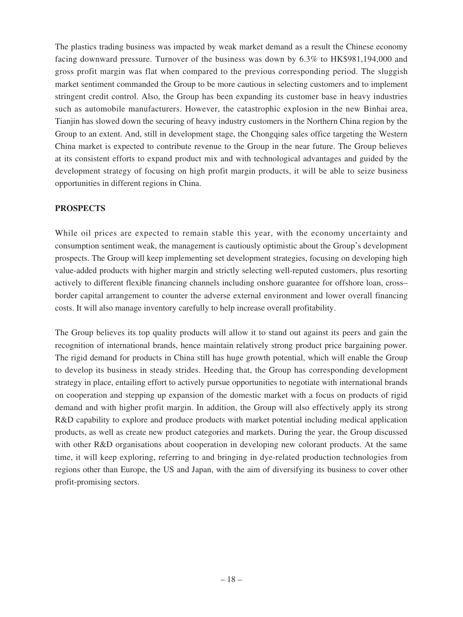The plastics trading business was impacted by weak market demand as a result the Chinese economy facing downward pressure. Turnover of the business was down by 6.3% to HK\$981,194,000 and gross profit margin was flat when compared to the previous corresponding period. The sluggish market sentiment commanded the Group to be more cautious in selecting customers and to implement stringent credit control. Also, the Group has been expanding its customer base in heavy industries such as automobile manufacturers. However, the catastrophic explosion in the new Binhai area, Tianjin has slowed down the securing of heavy industry customers in the Northern China region by the Group to an extent. And, still in development stage, the Chongqing sales office targeting the Western China market is expected to contribute revenue to the Group in the near future. The Group believes at its consistent efforts to expand product mix and with technological advantages and guided by the development strategy of focusing on high profit margin products, it will be able to seize business opportunities in different regions in China.

## **PROSPECTS**

While oil prices are expected to remain stable this year, with the economy uncertainty and consumption sentiment weak, the management is cautiously optimistic about the Group's development prospects. The Group will keep implementing set development strategies, focusing on developing high value-added products with higher margin and strictly selecting well-reputed customers, plus resorting actively to different flexible financing channels including onshore guarantee for offshore loan, cross– border capital arrangement to counter the adverse external environment and lower overall financing costs. It will also manage inventory carefully to help increase overall profitability.

The Group believes its top quality products will allow it to stand out against its peers and gain the recognition of international brands, hence maintain relatively strong product price bargaining power. The rigid demand for products in China still has huge growth potential, which will enable the Group to develop its business in steady strides. Heeding that, the Group has corresponding development strategy in place, entailing effort to actively pursue opportunities to negotiate with international brands on cooperation and stepping up expansion of the domestic market with a focus on products of rigid demand and with higher profit margin. In addition, the Group will also effectively apply its strong R&D capability to explore and produce products with market potential including medical application products, as well as create new product categories and markets. During the year, the Group discussed with other R&D organisations about cooperation in developing new colorant products. At the same time, it will keep exploring, referring to and bringing in dye-related production technologies from regions other than Europe, the US and Japan, with the aim of diversifying its business to cover other profit-promising sectors.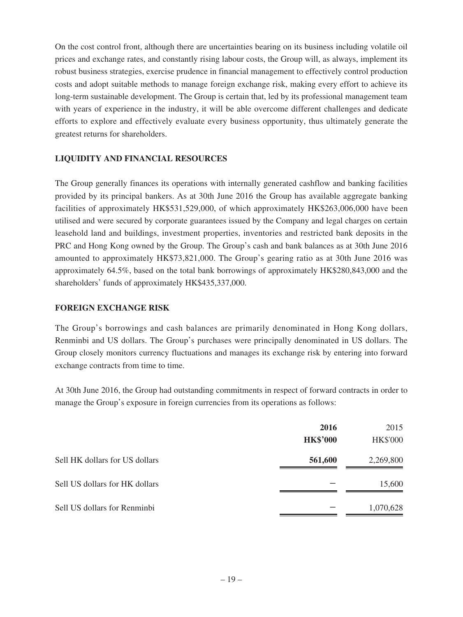On the cost control front, although there are uncertainties bearing on its business including volatile oil prices and exchange rates, and constantly rising labour costs, the Group will, as always, implement its robust business strategies, exercise prudence in financial management to effectively control production costs and adopt suitable methods to manage foreign exchange risk, making every effort to achieve its long-term sustainable development. The Group is certain that, led by its professional management team with years of experience in the industry, it will be able overcome different challenges and dedicate efforts to explore and effectively evaluate every business opportunity, thus ultimately generate the greatest returns for shareholders.

## **LIQUIDITY AND FINANCIAL RESOURCES**

The Group generally finances its operations with internally generated cashflow and banking facilities provided by its principal bankers. As at 30th June 2016 the Group has available aggregate banking facilities of approximately HK\$531,529,000, of which approximately HK\$263,006,000 have been utilised and were secured by corporate guarantees issued by the Company and legal charges on certain leasehold land and buildings, investment properties, inventories and restricted bank deposits in the PRC and Hong Kong owned by the Group. The Group's cash and bank balances as at 30th June 2016 amounted to approximately HK\$73,821,000. The Group's gearing ratio as at 30th June 2016 was approximately 64.5%, based on the total bank borrowings of approximately HK\$280,843,000 and the shareholders' funds of approximately HK\$435,337,000.

## **FOREIGN EXCHANGE RISK**

The Group's borrowings and cash balances are primarily denominated in Hong Kong dollars, Renminbi and US dollars. The Group's purchases were principally denominated in US dollars. The Group closely monitors currency fluctuations and manages its exchange risk by entering into forward exchange contracts from time to time.

At 30th June 2016, the Group had outstanding commitments in respect of forward contracts in order to manage the Group's exposure in foreign currencies from its operations as follows:

|                                | 2016            | 2015            |
|--------------------------------|-----------------|-----------------|
|                                | <b>HK\$'000</b> | <b>HK\$'000</b> |
| Sell HK dollars for US dollars | 561,600         | 2,269,800       |
| Sell US dollars for HK dollars |                 | 15,600          |
| Sell US dollars for Renminbi   |                 | 1,070,628       |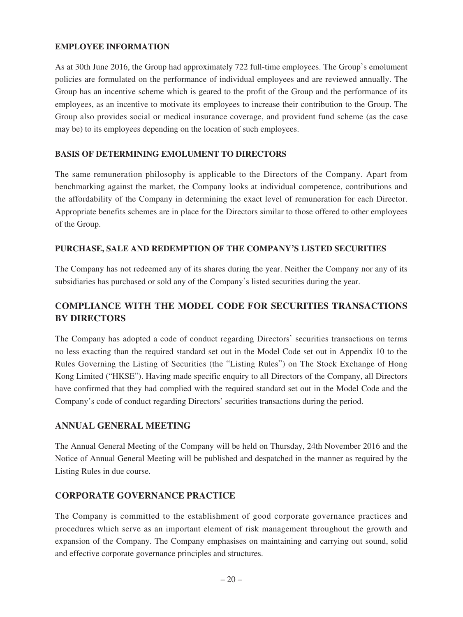## **EMPLOYEE INFORMATION**

As at 30th June 2016, the Group had approximately 722 full-time employees. The Group's emolument policies are formulated on the performance of individual employees and are reviewed annually. The Group has an incentive scheme which is geared to the profit of the Group and the performance of its employees, as an incentive to motivate its employees to increase their contribution to the Group. The Group also provides social or medical insurance coverage, and provident fund scheme (as the case may be) to its employees depending on the location of such employees.

### **BASIS OF DETERMINING EMOLUMENT TO DIRECTORS**

The same remuneration philosophy is applicable to the Directors of the Company. Apart from benchmarking against the market, the Company looks at individual competence, contributions and the affordability of the Company in determining the exact level of remuneration for each Director. Appropriate benefits schemes are in place for the Directors similar to those offered to other employees of the Group.

## **PURCHASE, SALE AND REDEMPTION OF THE COMPANY'S LISTED SECURITIES**

The Company has not redeemed any of its shares during the year. Neither the Company nor any of its subsidiaries has purchased or sold any of the Company's listed securities during the year.

## **COMPLIANCE WITH THE MODEL CODE FOR SECURITIES TRANSACTIONS BY DIRECTORS**

The Company has adopted a code of conduct regarding Directors' securities transactions on terms no less exacting than the required standard set out in the Model Code set out in Appendix 10 to the Rules Governing the Listing of Securities (the "Listing Rules") on The Stock Exchange of Hong Kong Limited ("HKSE"). Having made specific enquiry to all Directors of the Company, all Directors have confirmed that they had complied with the required standard set out in the Model Code and the Company's code of conduct regarding Directors' securities transactions during the period.

## **ANNUAL GENERAL MEETING**

The Annual General Meeting of the Company will be held on Thursday, 24th November 2016 and the Notice of Annual General Meeting will be published and despatched in the manner as required by the Listing Rules in due course.

## **CORPORATE GOVERNANCE PRACTICE**

The Company is committed to the establishment of good corporate governance practices and procedures which serve as an important element of risk management throughout the growth and expansion of the Company. The Company emphasises on maintaining and carrying out sound, solid and effective corporate governance principles and structures.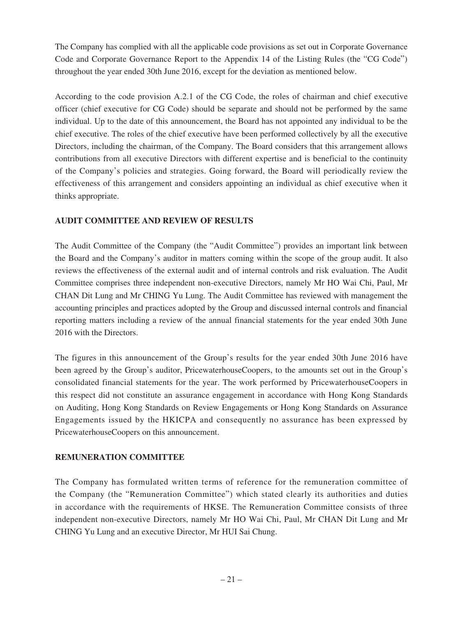The Company has complied with all the applicable code provisions as set out in Corporate Governance Code and Corporate Governance Report to the Appendix 14 of the Listing Rules (the "CG Code") throughout the year ended 30th June 2016, except for the deviation as mentioned below.

According to the code provision A.2.1 of the CG Code, the roles of chairman and chief executive officer (chief executive for CG Code) should be separate and should not be performed by the same individual. Up to the date of this announcement, the Board has not appointed any individual to be the chief executive. The roles of the chief executive have been performed collectively by all the executive Directors, including the chairman, of the Company. The Board considers that this arrangement allows contributions from all executive Directors with different expertise and is beneficial to the continuity of the Company's policies and strategies. Going forward, the Board will periodically review the effectiveness of this arrangement and considers appointing an individual as chief executive when it thinks appropriate.

## **AUDIT COMMITTEE AND REVIEW OF RESULTS**

The Audit Committee of the Company (the "Audit Committee") provides an important link between the Board and the Company's auditor in matters coming within the scope of the group audit. It also reviews the effectiveness of the external audit and of internal controls and risk evaluation. The Audit Committee comprises three independent non-executive Directors, namely Mr HO Wai Chi, Paul, Mr CHAN Dit Lung and Mr CHING Yu Lung. The Audit Committee has reviewed with management the accounting principles and practices adopted by the Group and discussed internal controls and financial reporting matters including a review of the annual financial statements for the year ended 30th June 2016 with the Directors.

The figures in this announcement of the Group's results for the year ended 30th June 2016 have been agreed by the Group's auditor, PricewaterhouseCoopers, to the amounts set out in the Group's consolidated financial statements for the year. The work performed by PricewaterhouseCoopers in this respect did not constitute an assurance engagement in accordance with Hong Kong Standards on Auditing, Hong Kong Standards on Review Engagements or Hong Kong Standards on Assurance Engagements issued by the HKICPA and consequently no assurance has been expressed by PricewaterhouseCoopers on this announcement.

## **REMUNERATION COMMITTEE**

The Company has formulated written terms of reference for the remuneration committee of the Company (the "Remuneration Committee") which stated clearly its authorities and duties in accordance with the requirements of HKSE. The Remuneration Committee consists of three independent non-executive Directors, namely Mr HO Wai Chi, Paul, Mr CHAN Dit Lung and Mr CHING Yu Lung and an executive Director, Mr HUI Sai Chung.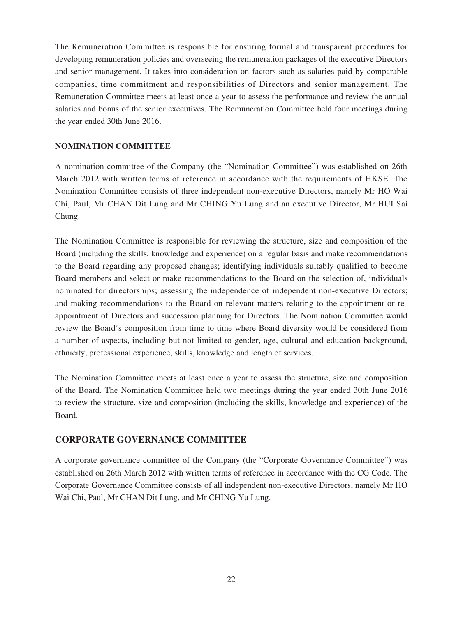The Remuneration Committee is responsible for ensuring formal and transparent procedures for developing remuneration policies and overseeing the remuneration packages of the executive Directors and senior management. It takes into consideration on factors such as salaries paid by comparable companies, time commitment and responsibilities of Directors and senior management. The Remuneration Committee meets at least once a year to assess the performance and review the annual salaries and bonus of the senior executives. The Remuneration Committee held four meetings during the year ended 30th June 2016.

## **NOMINATION COMMITTEE**

A nomination committee of the Company (the "Nomination Committee") was established on 26th March 2012 with written terms of reference in accordance with the requirements of HKSE. The Nomination Committee consists of three independent non-executive Directors, namely Mr HO Wai Chi, Paul, Mr CHAN Dit Lung and Mr CHING Yu Lung and an executive Director, Mr HUI Sai Chung.

The Nomination Committee is responsible for reviewing the structure, size and composition of the Board (including the skills, knowledge and experience) on a regular basis and make recommendations to the Board regarding any proposed changes; identifying individuals suitably qualified to become Board members and select or make recommendations to the Board on the selection of, individuals nominated for directorships; assessing the independence of independent non-executive Directors; and making recommendations to the Board on relevant matters relating to the appointment or reappointment of Directors and succession planning for Directors. The Nomination Committee would review the Board's composition from time to time where Board diversity would be considered from a number of aspects, including but not limited to gender, age, cultural and education background, ethnicity, professional experience, skills, knowledge and length of services.

The Nomination Committee meets at least once a year to assess the structure, size and composition of the Board. The Nomination Committee held two meetings during the year ended 30th June 2016 to review the structure, size and composition (including the skills, knowledge and experience) of the Board.

## **CORPORATE GOVERNANCE COMMITTEE**

A corporate governance committee of the Company (the "Corporate Governance Committee") was established on 26th March 2012 with written terms of reference in accordance with the CG Code. The Corporate Governance Committee consists of all independent non-executive Directors, namely Mr HO Wai Chi, Paul, Mr CHAN Dit Lung, and Mr CHING Yu Lung.